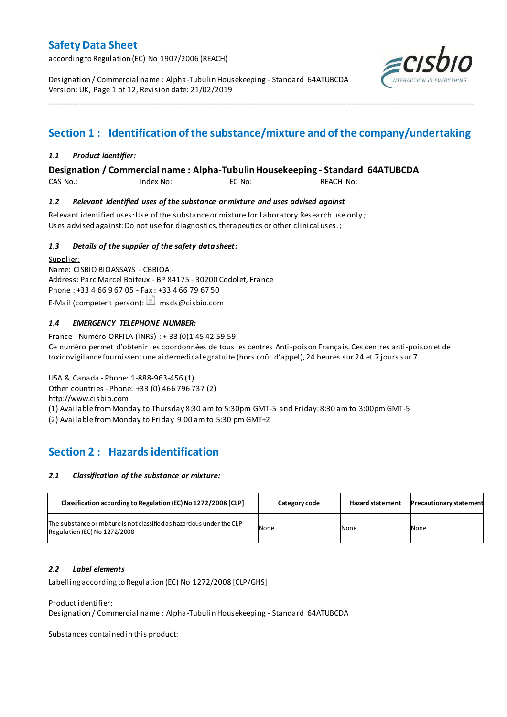according to Regulation (EC) No 1907/2006 (REACH)

Designation / Commercial name : Alpha-Tubulin Housekeeping - Standard 64ATUBCDA Version: UK, Page 1 of 12, Revision date: 21/02/2019



# **Section 1 : Identification of the substance/mixture and of the company/undertaking**

\_\_\_\_\_\_\_\_\_\_\_\_\_\_\_\_\_\_\_\_\_\_\_\_\_\_\_\_\_\_\_\_\_\_\_\_\_\_\_\_\_\_\_\_\_\_\_\_\_\_\_\_\_\_\_\_\_\_\_\_\_\_\_\_\_\_\_\_\_\_\_\_\_\_\_\_\_\_\_\_\_\_\_\_\_\_\_\_\_\_\_\_\_\_\_\_\_\_\_\_\_

### *1.1 Product identifier:*

### **Designation / Commercial name : Alpha-Tubulin Housekeeping - Standard 64ATUBCDA**

CAS No.: Index No: EC No: REACH No:

### *1.2 Relevant identified uses of the substance or mixture and uses advised against*

Relevant identified uses: Use of the substance or mixture for Laboratory Research use only ; Uses advised against: Do not use for diagnostics, therapeutics or other clinical uses.;

### *1.3 Details of the supplier of the safety data sheet:*

Supplier: Name: CISBIO BIOASSAYS - CBBIOA - Address: Parc Marcel Boiteux - BP 84175 - 30200 Codolet, France Phone : +33 4 66 9 67 05 - Fax : +33 4 66 79 67 50 E-Mail (competent person):  $\Box$  msds@cisbio.com

### *1.4 EMERGENCY TELEPHONE NUMBER:*

France - Numéro ORFILA (INRS) : + 33 (0)1 45 42 59 59 Ce numéro permet d'obtenir les coordonnées de tous les centres Anti-poison Français. Ces centres anti-poison et de toxicovigilance fournissent une aide médicale gratuite (hors coût d'appel), 24 heures sur 24 et 7 jours sur 7.

USA & Canada - Phone: 1-888-963-456 (1) Other countries - Phone: +33 (0) 466 796 737 (2) http://www.cisbio.com (1) Available from Monday to Thursday 8:30 am to 5:30pm GMT-5 and Friday: 8:30 am to 3:00pm GMT-5

(2) Available from Monday to Friday 9:00 am to 5:30 pm GMT+2

## **Section 2 : Hazards identification**

#### *2.1 Classification of the substance or mixture:*

| Classification according to Regulation (EC) No 1272/2008 [CLP]                                        | Category code | <b>Hazard statement</b> | <b>Precautionary statement</b> |
|-------------------------------------------------------------------------------------------------------|---------------|-------------------------|--------------------------------|
| The substance or mixture is not classified as hazardous under the CLP<br>Regulation (EC) No 1272/2008 | None          | None                    | None                           |

### *2.2 Label elements*

Labelling according to Regulation (EC) No 1272/2008 [CLP/GHS]

#### Product identifier:

Designation / Commercial name : Alpha-Tubulin Housekeeping - Standard 64ATUBCDA

Substances contained in this product: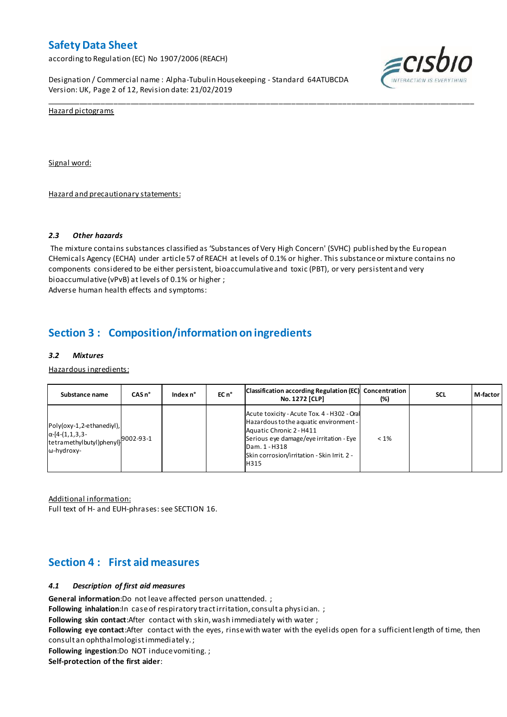according to Regulation (EC) No 1907/2006 (REACH)

Designation / Commercial name : Alpha-Tubulin Housekeeping - Standard 64ATUBCDA Version: UK, Page 2 of 12, Revision date: 21/02/2019



Hazard pictograms

Signal word:

Hazard and precautionary statements:

#### *2.3 Other hazards*

The mixture contains substances classified as 'Substances of Very High Concern' (SVHC) published by the European CHemicals Agency (ECHA) under article 57 of REACH at levels of 0.1% or higher. This substance or mixture contains no components considered to be either persistent, bioaccumulative and toxic (PBT), or very persistent and very bioaccumulative (vPvB) at levels of 0.1% or higher ; Adverse human health effects and symptoms:

\_\_\_\_\_\_\_\_\_\_\_\_\_\_\_\_\_\_\_\_\_\_\_\_\_\_\_\_\_\_\_\_\_\_\_\_\_\_\_\_\_\_\_\_\_\_\_\_\_\_\_\_\_\_\_\_\_\_\_\_\_\_\_\_\_\_\_\_\_\_\_\_\_\_\_\_\_\_\_\_\_\_\_\_\_\_\_\_\_\_\_\_\_\_\_\_\_\_\_\_\_

## **Section 3 : Composition/information on ingredients**

#### *3.2 Mixtures*

Hazardous ingredients:

| Substance name                                                                                                      | $CASn^{\circ}$ | Index $n^{\circ}$ | EC n <sup>o</sup> | Classification according Regulation (EC) Concentration<br><b>No. 1272 [CLP]</b>                                                                                                                                                      | (%)     | <b>SCL</b> | M-factor |
|---------------------------------------------------------------------------------------------------------------------|----------------|-------------------|-------------------|--------------------------------------------------------------------------------------------------------------------------------------------------------------------------------------------------------------------------------------|---------|------------|----------|
| Poly(oxy-1,2-ethanediyl),<br>$\alpha$ -[4-(1,1,3,3-<br>Itetramethylbutyl)phenyl] <sup>9002-93-1</sup><br>ω-hydroxy- |                |                   |                   | Acute toxicity - Acute Tox. 4 - H302 - Oral<br>Hazardous to the aquatic environment -<br>Aquatic Chronic 2 - H411<br>Serious eye damage/eye irritation - Eye<br>Dam. 1 - H318<br>Skin corrosion/irritation - Skin Irrit. 2 -<br>H315 | $< 1\%$ |            |          |

Additional information:

Full text of H- and EUH-phrases: see SECTION 16.

## **Section 4 : First aid measures**

#### *4.1 Description of first aid measures*

**General information**:Do not leave affected person unattended. ;

Following inhalation:In case of respiratory tractirritation, consult a physician. ;

**Following skin contact**:After contact with skin, wash immediately with water ;

**Following eye contact**:After contact with the eyes, rinse with water with the eyelids open for a sufficient length of time, then consult an ophthalmologist immediatel y. ;

**Following ingestion**:Do NOT induce vomiting. ;

**Self-protection of the first aider**: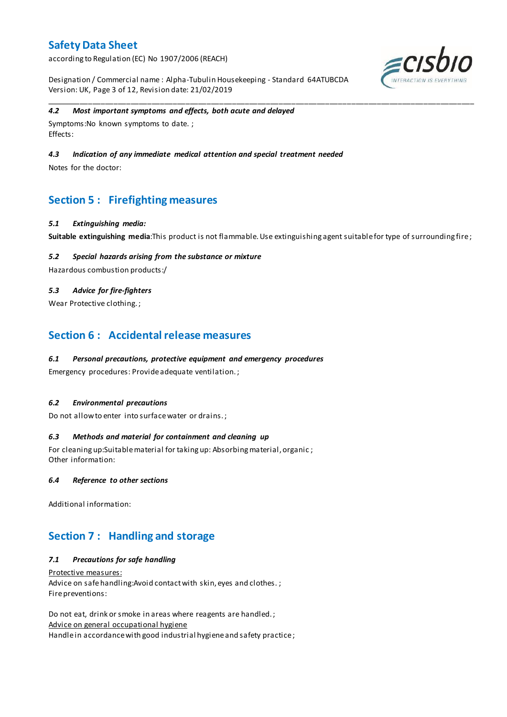according to Regulation (EC) No 1907/2006 (REACH)

Designation / Commercial name : Alpha-Tubulin Housekeeping - Standard 64ATUBCDA Version: UK, Page 3 of 12, Revision date: 21/02/2019



### *4.2 Most important symptoms and effects, both acute and delayed*

Symptoms:No known symptoms to date. ; Effects:

### *4.3 Indication of any immediate medical attention and special treatment needed*

Notes for the doctor:

## **Section 5 : Firefighting measures**

#### *5.1 Extinguishing media:*

**Suitable extinguishing media**:This product is not flammable. Use extinguishing agent suitable for type of surrounding fire ;

\_\_\_\_\_\_\_\_\_\_\_\_\_\_\_\_\_\_\_\_\_\_\_\_\_\_\_\_\_\_\_\_\_\_\_\_\_\_\_\_\_\_\_\_\_\_\_\_\_\_\_\_\_\_\_\_\_\_\_\_\_\_\_\_\_\_\_\_\_\_\_\_\_\_\_\_\_\_\_\_\_\_\_\_\_\_\_\_\_\_\_\_\_\_\_\_\_\_\_\_\_

### *5.2 Special hazards arising from the substance or mixture*

Hazardous combustion products:/

### *5.3 Advice for fire-fighters*

Wear Protective clothing.;

## **Section 6 : Accidental release measures**

### *6.1 Personal precautions, protective equipment and emergency procedures*

Emergency procedures: Provide adequate ventilation. ;

#### *6.2 Environmental precautions*

Do not allow to enter into surface water or drains. ;

#### *6.3 Methods and material for containment and cleaning up*

For cleaning up:Suitable material for taking up: Absorbing material, organic ; Other information:

#### *6.4 Reference to other sections*

Additional information:

## **Section 7 : Handling and storage**

### *7.1 Precautions for safe handling*

Protective measures: Advice on safe handling: Avoid contact with skin, eyes and clothes. ; Fire preventions:

Do not eat, drink or smoke in areas where reagents are handled. ; Advice on general occupational hygiene Handle in accordance with good industrial hygiene and safety practice ;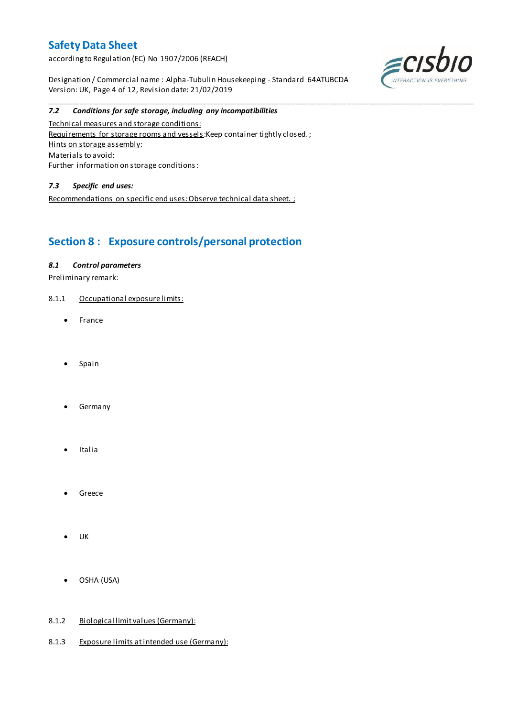according to Regulation (EC) No 1907/2006 (REACH)

Designation / Commercial name : Alpha-Tubulin Housekeeping - Standard 64ATUBCDA Version: UK, Page 4 of 12, Revision date: 21/02/2019

\_\_\_\_\_\_\_\_\_\_\_\_\_\_\_\_\_\_\_\_\_\_\_\_\_\_\_\_\_\_\_\_\_\_\_\_\_\_\_\_\_\_\_\_\_\_\_\_\_\_\_\_\_\_\_\_\_\_\_\_\_\_\_\_\_\_\_\_\_\_\_\_\_\_\_\_\_\_\_\_\_\_\_\_\_\_\_\_\_\_\_\_\_\_\_\_\_\_\_\_\_



#### *7.2 Conditions for safe storage, including any incompatibilities*

Technical measures and storage conditions: Requirements for storage rooms and vessels: Keep container tightly closed.; Hints on storage assembly: Materials to avoid: Further information on storage conditions:

### *7.3 Specific end uses:*

Recommendations on specific end uses: Observe technical data sheet. ;

# **Section 8 : Exposure controls/personal protection**

### *8.1 Control parameters*

Preliminary remark:

- 8.1.1 Occupational exposure limits:
	- France
	- Spain
	- Germany
	- Italia
	- Greece
	- UK
	- OSHA (USA)

#### 8.1.2 Biological limit values (Germany):

8.1.3 Exposure limits at intended use (Germany):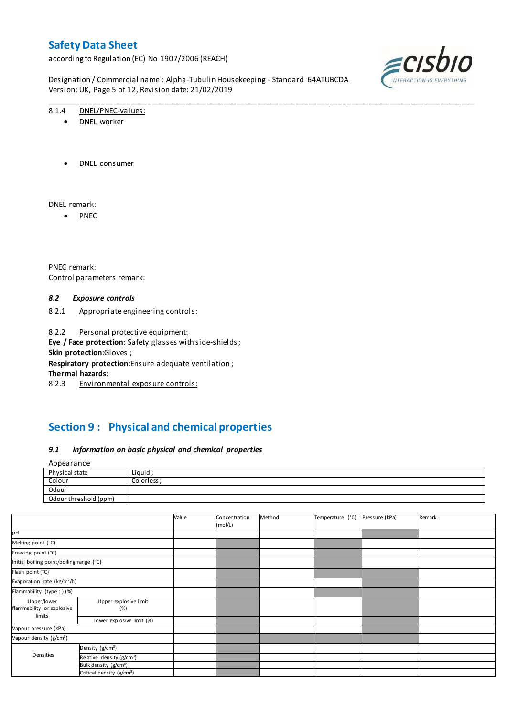according to Regulation (EC) No 1907/2006 (REACH)

Designation / Commercial name : Alpha-Tubulin Housekeeping - Standard 64ATUBCDA Version: UK, Page 5 of 12, Revision date: 21/02/2019

\_\_\_\_\_\_\_\_\_\_\_\_\_\_\_\_\_\_\_\_\_\_\_\_\_\_\_\_\_\_\_\_\_\_\_\_\_\_\_\_\_\_\_\_\_\_\_\_\_\_\_\_\_\_\_\_\_\_\_\_\_\_\_\_\_\_\_\_\_\_\_\_\_\_\_\_\_\_\_\_\_\_\_\_\_\_\_\_\_\_\_\_\_\_\_\_\_\_\_\_\_



#### 8.1.4 DNEL/PNEC-values:

- DNEL worker
- DNEL consumer

DNEL remark:

 $\bullet$  PNEC

PNEC remark: Control parameters remark:

#### *8.2 Exposure controls*

8.2.1 Appropriate engineering controls:

8.2.2 Personal protective equipment: **Eye / Face protection**: Safety glasses with side-shields ; **Skin protection**:Gloves ; **Respiratory protection**:Ensure adequate ventilation ;

**Thermal hazards**:

8.2.3 Environmental exposure controls:

# **Section 9 : Physical and chemical properties**

#### *9.1 Information on basic physical and chemical properties*

| <u>Appearance</u>     |             |
|-----------------------|-------------|
| Physical state        | Liquid;     |
| Colour                | Colorless : |
| Odour                 |             |
| Odour threshold (ppm) |             |

|                                          |                                       | Value | Concentration<br>(mol/L) | Method | Temperature (°C) | Pressure (kPa) | Remark |
|------------------------------------------|---------------------------------------|-------|--------------------------|--------|------------------|----------------|--------|
| pH                                       |                                       |       |                          |        |                  |                |        |
| Melting point (°C)                       |                                       |       |                          |        |                  |                |        |
| Freezing point (°C)                      |                                       |       |                          |        |                  |                |        |
| Initial boiling point/boiling range (°C) |                                       |       |                          |        |                  |                |        |
| Flash point (°C)                         |                                       |       |                          |        |                  |                |        |
| Evaporation rate (kg/m <sup>2</sup> /h)  |                                       |       |                          |        |                  |                |        |
| Flammability (type : ) (%)               |                                       |       |                          |        |                  |                |        |
| Upper/lower<br>flammability or explosive | Upper explosive limit<br>(%)          |       |                          |        |                  |                |        |
| limits                                   | Lower explosive limit (%)             |       |                          |        |                  |                |        |
| Vapour pressure (kPa)                    |                                       |       |                          |        |                  |                |        |
| Vapour density (g/cm <sup>3</sup> )      |                                       |       |                          |        |                  |                |        |
|                                          | Density (g/cm <sup>3</sup> )          |       |                          |        |                  |                |        |
| Densities                                | Relative density (g/cm <sup>3</sup> ) |       |                          |        |                  |                |        |
|                                          | Bulk density (g/cm <sup>3</sup> )     |       |                          |        |                  |                |        |
|                                          | Critical density (g/cm <sup>3</sup> ) |       |                          |        |                  |                |        |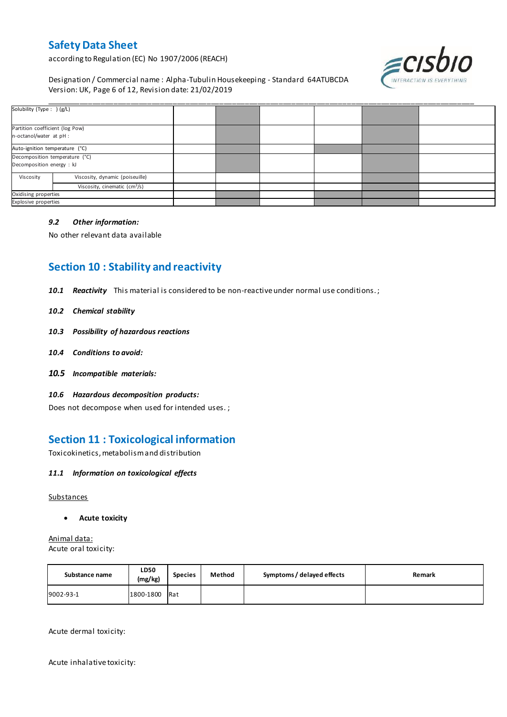according to Regulation (EC) No 1907/2006 (REACH)



Designation / Commercial name : Alpha-Tubulin Housekeeping - Standard 64ATUBCDA Version: UK, Page 6 of 12, Revision date: 21/02/2019

| Solubility (Type: ) (g/L)       |                                               |  |  |  |
|---------------------------------|-----------------------------------------------|--|--|--|
|                                 |                                               |  |  |  |
| Partition coefficient (log Pow) |                                               |  |  |  |
| n-octanol/water at pH :         |                                               |  |  |  |
| Auto-ignition temperature (°C)  |                                               |  |  |  |
| Decomposition temperature (°C)  |                                               |  |  |  |
| Decomposition energy : kJ       |                                               |  |  |  |
| Viscosity                       | Viscosity, dynamic (poiseuille)               |  |  |  |
|                                 | Viscosity, cinematic $\text{(cm}^3\text{/s)}$ |  |  |  |
| Oxidising properties            |                                               |  |  |  |
| Explosive properties            |                                               |  |  |  |

#### *9.2 Other information:*

No other relevant data available

## **Section 10 : Stability and reactivity**

*10.1 Reactivity* This material is considered to be non-reactive under normal use conditions. ;

- *10.2 Chemical stability*
- *10.3 Possibility of hazardous reactions*
- *10.4 Conditions to avoid:*
- *10.5 Incompatible materials:*
- *10.6 Hazardous decomposition products:*

Does not decompose when used for intended uses. ;

## **Section 11 : Toxicological information**

Toxicokinetics, metabolism and distribution

#### *11.1 Information on toxicological effects*

**Substances** 

**Acute toxicity**

Animal data: Acute oral toxicity:

| Substance name | <b>LD50</b><br>(mg/kg) | <b>Species</b> | Method | Symptoms / delayed effects | Remark |
|----------------|------------------------|----------------|--------|----------------------------|--------|
| 9002-93-1      | 1800-1800              | Rat            |        |                            |        |

Acute dermal toxicity:

Acute inhalative toxicity: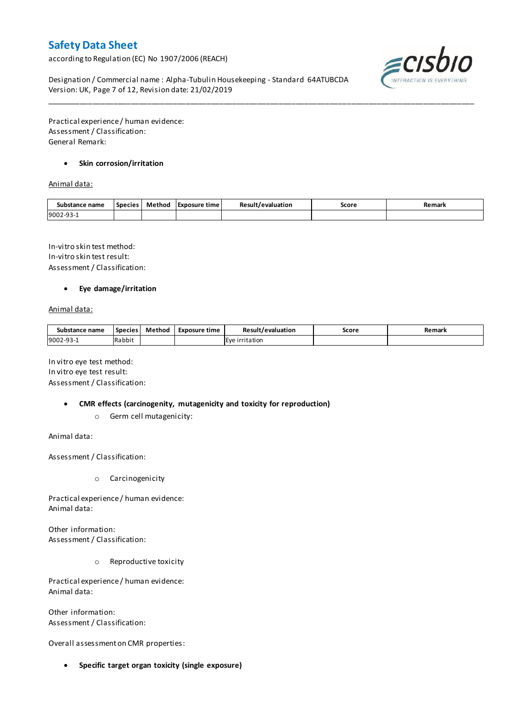according to Regulation (EC) No 1907/2006 (REACH)



Designation / Commercial name : Alpha-Tubulin Housekeeping - Standard 64ATUBCDA Version: UK, Page 7 of 12, Revision date: 21/02/2019

Practical experience / human evidence: Assessment / Classification: General Remark:

### **Skin corrosion/irritation**

Animal data:

| Substance name | <b>Species</b> | Method | TExposure time | Result<br>evaluation | Score | Remark |
|----------------|----------------|--------|----------------|----------------------|-------|--------|
| 9002-93-       |                |        |                |                      |       |        |

\_\_\_\_\_\_\_\_\_\_\_\_\_\_\_\_\_\_\_\_\_\_\_\_\_\_\_\_\_\_\_\_\_\_\_\_\_\_\_\_\_\_\_\_\_\_\_\_\_\_\_\_\_\_\_\_\_\_\_\_\_\_\_\_\_\_\_\_\_\_\_\_\_\_\_\_\_\_\_\_\_\_\_\_\_\_\_\_\_\_\_\_\_\_\_\_\_\_\_\_\_

In-vitro skin test method: In-vitro skin test result: Assessment / Classification:

#### **Eye damage/irritation**

Animal data:

| Substance name | <b>Species</b> | Method | Exposure time | Result/evaluation | Score | Remark |
|----------------|----------------|--------|---------------|-------------------|-------|--------|
| 9002-93-1      | Rabbit         |        |               | Eve irritation    |       |        |

In vitro eye test method: In vitro eye test result: Assessment / Classification:

- **CMR effects (carcinogenity, mutagenicity and toxicity for reproduction)**
	- o Germ cell mutagenicity:

Animal data:

Assessment / Classification:

o Carcinogenicity

Practical experience / human evidence: Animal data:

Other information: Assessment / Classification:

o Reproductive toxicity

Practical experience / human evidence: Animal data:

Other information: Assessment / Classification:

Overall assessment on CMR properties:

**Specific target organ toxicity (single exposure)**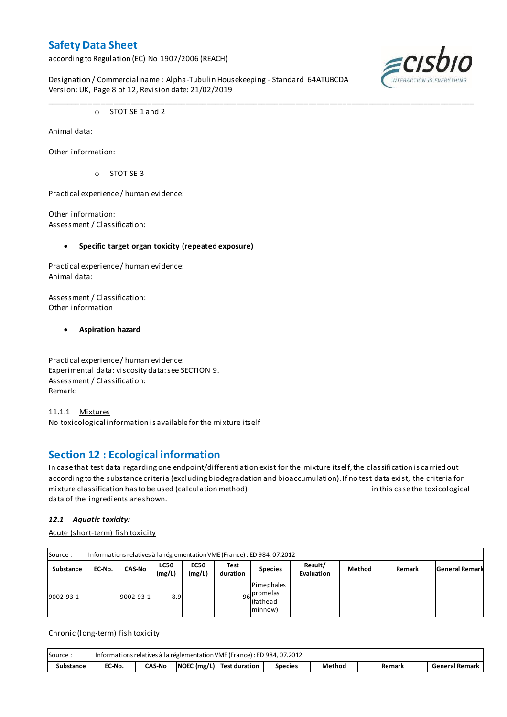according to Regulation (EC) No 1907/2006 (REACH)

Designation / Commercial name : Alpha-Tubulin Housekeeping - Standard 64ATUBCDA Version: UK, Page 8 of 12, Revision date: 21/02/2019

\_\_\_\_\_\_\_\_\_\_\_\_\_\_\_\_\_\_\_\_\_\_\_\_\_\_\_\_\_\_\_\_\_\_\_\_\_\_\_\_\_\_\_\_\_\_\_\_\_\_\_\_\_\_\_\_\_\_\_\_\_\_\_\_\_\_\_\_\_\_\_\_\_\_\_\_\_\_\_\_\_\_\_\_\_\_\_\_\_\_\_\_\_\_\_\_\_\_\_\_\_



o STOT SE 1 and 2

Animal data:

Other information:

o STOT SE 3

Practical experience / human evidence:

Other information: Assessment / Classification:

### **Specific target organ toxicity (repeated exposure)**

Practical experience / human evidence: Animal data:

Assessment / Classification: Other information

### **Aspiration hazard**

Practical experience / human evidence: Experimental data: viscosity data: see SECTION 9. Assessment / Classification: Remark:

11.1.1 Mixtures No toxicological information is available for the mixture itself

## **Section 12 : Ecological information**

In case that test data regarding one endpoint/differentiation exist for the mixture itself, the classification is carried out according to the substance criteria (excluding biodegradation and bioaccumulation). If no test data exist, the criteria for mixture classification has to be used (calculation method) in this case the toxicological data of the ingredients are shown.

### *12.1 Aquatic toxicity:*

Acute (short-term) fish toxicity

| Source:          | Informations relatives à la réglementation VME (France) : ED 984, 07.2012 |               |                       |                       |                  |                                                         |                       |        |        |                       |  |  |  |
|------------------|---------------------------------------------------------------------------|---------------|-----------------------|-----------------------|------------------|---------------------------------------------------------|-----------------------|--------|--------|-----------------------|--|--|--|
| <b>Substance</b> | EC-No.                                                                    | <b>CAS-No</b> | <b>LC50</b><br>(mg/L) | <b>EC50</b><br>(mg/L) | Test<br>duration | <b>Species</b>                                          | Result/<br>Evaluation | Method | Remark | <b>General Remark</b> |  |  |  |
| 9002-93-1        |                                                                           | 9002-93-1     | 8.9                   |                       |                  | <b>Pimephales</b><br>96 promelas<br>(fathead<br>minnow) |                       |        |        |                       |  |  |  |

Chronic (long-term) fish toxicity

| Source:          | Informations relatives à la réglementation VME (France) : ED 984, 07.2012 |               |  |                                           |                |        |        |                |  |  |
|------------------|---------------------------------------------------------------------------|---------------|--|-------------------------------------------|----------------|--------|--------|----------------|--|--|
| <b>Substance</b> | EC-No.                                                                    | <b>CAS-No</b> |  | $\vert$ NOEC (mg/L) $\vert$ Test duration | <b>Species</b> | Method | Remark | General Remark |  |  |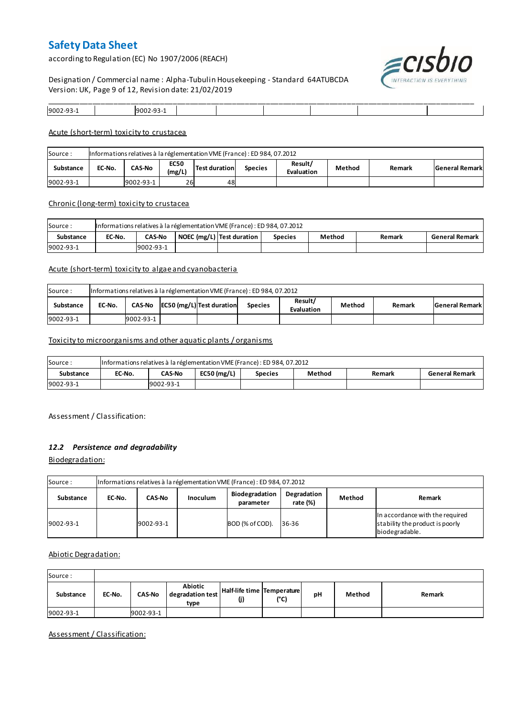according to Regulation (EC) No 1907/2006 (REACH)



Designation / Commercial name : Alpha-Tubulin Housekeeping - Standard 64ATUBCDA Version: UK, Page 9 of 12, Revision date: 21/02/2019

| $9002 - 9$ | l900: |  |  |  |
|------------|-------|--|--|--|

#### Acute (short-term) toxicity to crustacea

| Source:   | Informations relatives à la réglementation VME (France) : ED 984, 07.2012 |               |                       |                      |                |                       |        |        |                       |  |  |
|-----------|---------------------------------------------------------------------------|---------------|-----------------------|----------------------|----------------|-----------------------|--------|--------|-----------------------|--|--|
| Substance | EC-No.                                                                    | <b>CAS-No</b> | <b>EC50</b><br>(mg/L) | <b>Test duration</b> | <b>Species</b> | Result/<br>Evaluation | Method | Remark | <b>General Remark</b> |  |  |
| 9002-93-1 |                                                                           | 9002-93-1     | 26                    | 48                   |                |                       |        |        |                       |  |  |

#### Chronic (long-term) toxicity to crustacea

| Source:          |        | Informations relatives à la réglementation VME (France) : ED 984, 07.2012 |  |                           |                |        |        |                       |  |  |
|------------------|--------|---------------------------------------------------------------------------|--|---------------------------|----------------|--------|--------|-----------------------|--|--|
| <b>Substance</b> | EC-No. | CAS-No                                                                    |  | NOEC (mg/L) Test duration | <b>Species</b> | Method | Remark | <b>General Remark</b> |  |  |
| 9002-93-1        |        | 9002-93-1                                                                 |  |                           |                |        |        |                       |  |  |

### Acute (short-term) toxicity to algae and cyanobacteria

| Source:   |        | Informations relatives à la réglementation VME (France) : ED 984, 07.2012 |  |                                  |         |                       |        |        |                       |  |  |
|-----------|--------|---------------------------------------------------------------------------|--|----------------------------------|---------|-----------------------|--------|--------|-----------------------|--|--|
| Substance | EC-No. | <b>CAS-No</b>                                                             |  | <b>EC50 (mg/L)</b> Test duration | Species | Result/<br>Evaluation | Method | Remark | <b>General Remark</b> |  |  |
| 9002-93-1 |        | 9002-93-1                                                                 |  |                                  |         |                       |        |        |                       |  |  |

### Toxicity to microorganisms and other aquatic plants / organisms

| Source:   | Informations relatives à la réglementation VME (France) : ED 984, 07.2012 |               |               |                |        |        |                       |  |  |
|-----------|---------------------------------------------------------------------------|---------------|---------------|----------------|--------|--------|-----------------------|--|--|
| Substance | EC-No.                                                                    | <b>CAS-No</b> | $EC50$ (mg/L) | <b>Species</b> | Method | Remark | <b>General Remark</b> |  |  |
| 9002-93-1 |                                                                           | 9002-93-1     |               |                |        |        |                       |  |  |

Assessment / Classification:

#### *12.2 Persistence and degradability*

Biodegradation:

| Source:   |        | Informations relatives à la réglementation VME (France) : ED 984, 07.2012 |                 |                             |                         |        |                                                                                      |  |  |  |
|-----------|--------|---------------------------------------------------------------------------|-----------------|-----------------------------|-------------------------|--------|--------------------------------------------------------------------------------------|--|--|--|
| Substance | EC-No. | CAS-No                                                                    | <b>Inoculum</b> | Biodegradation<br>parameter | Degradation<br>rate (%) | Method | Remark                                                                               |  |  |  |
| 9002-93-1 |        | 9002-93-1                                                                 |                 | BOD (% of COD).             | 36-36                   |        | In accordance with the required<br>stability the product is poorly<br>biodegradable. |  |  |  |

### Abiotic Degradation:

| Source:          |        |               |                                     |                                   |      |    |        |        |
|------------------|--------|---------------|-------------------------------------|-----------------------------------|------|----|--------|--------|
| <b>Substance</b> | EC-No. | <b>CAS-No</b> | Abiotic<br>degradation test<br>type | Half-life time Temperature<br>(j) | (°C) | pH | Method | Remark |
| 9002-93-1        |        | 9002-93-1     |                                     |                                   |      |    |        |        |

Assessment / Classification: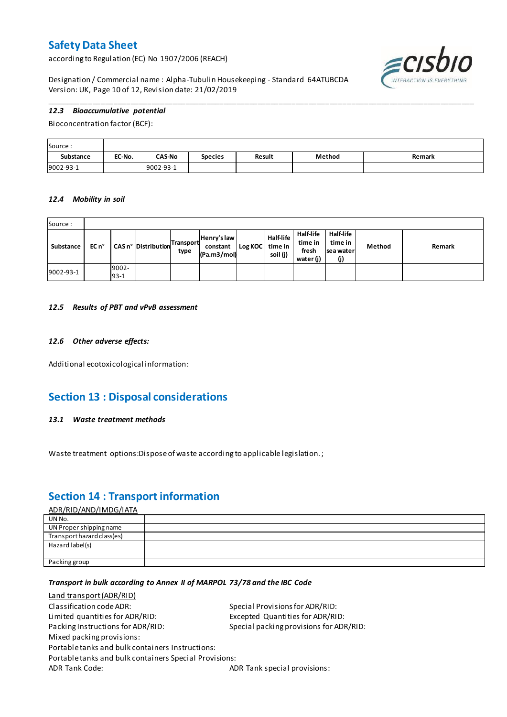according to Regulation (EC) No 1907/2006 (REACH)



Designation / Commercial name : Alpha-Tubulin Housekeeping - Standard 64ATUBCDA Version: UK, Page 10 of 12, Revision date: 21/02/2019

### *12.3 Bioaccumulative potential*

Bioconcentration factor (BCF):

| Source:          |        |               |                |        |        |        |
|------------------|--------|---------------|----------------|--------|--------|--------|
| <b>Substance</b> | EC-No. | <b>CAS-No</b> | <b>Species</b> | Result | Method | Remark |
| 9002-93-1        |        | 9002-93-1     |                |        |        |        |

\_\_\_\_\_\_\_\_\_\_\_\_\_\_\_\_\_\_\_\_\_\_\_\_\_\_\_\_\_\_\_\_\_\_\_\_\_\_\_\_\_\_\_\_\_\_\_\_\_\_\_\_\_\_\_\_\_\_\_\_\_\_\_\_\_\_\_\_\_\_\_\_\_\_\_\_\_\_\_\_\_\_\_\_\_\_\_\_\_\_\_\_\_\_\_\_\_\_\_\_\_

#### *12.4 Mobility in soil*

| Source:   |       |                 |                            |                   |                                        |         |                                  |                                                   |                                          |        |        |
|-----------|-------|-----------------|----------------------------|-------------------|----------------------------------------|---------|----------------------------------|---------------------------------------------------|------------------------------------------|--------|--------|
| Substance | EC n° |                 | <b>CAS n° Distribution</b> | Transport<br>type | Henry's law<br>constant<br>(Pa.m3/mol) | Log KOC | Half-life<br>time in<br>soil (j) | <b>Half-life</b><br>time in<br>fresh<br>water (j) | Half-life<br>time in<br>sea water<br>(j) | Method | Remark |
| 9002-93-1 |       | 9002-<br>$93-1$ |                            |                   |                                        |         |                                  |                                                   |                                          |        |        |

#### *12.5 Results of PBT and vPvB assessment*

#### *12.6 Other adverse effects:*

Additional ecotoxicological information:

## **Section 13 : Disposal considerations**

#### *13.1 Waste treatment methods*

Waste treatment options:Dispose of waste according to applicable legislation. ;

## **Section 14 : Transport information**

#### ADR/RID/AND/IMDG/IATA

| UN No.                     |  |
|----------------------------|--|
| UN Proper shipping name    |  |
| Transport hazard class(es) |  |
| Hazard label(s)            |  |
|                            |  |
| Packing group              |  |

#### *Transport in bulk according to Annex II of MARPOL 73/78 and the IBC Code*

| Special Provisions for ADR/RID:                        |
|--------------------------------------------------------|
| Excepted Quantities for ADR/RID:                       |
| Special packing provisions for ADR/RID:                |
|                                                        |
|                                                        |
| Portable tanks and bulk containers Special Provisions: |
| ADR Tank special provisions:                           |
|                                                        |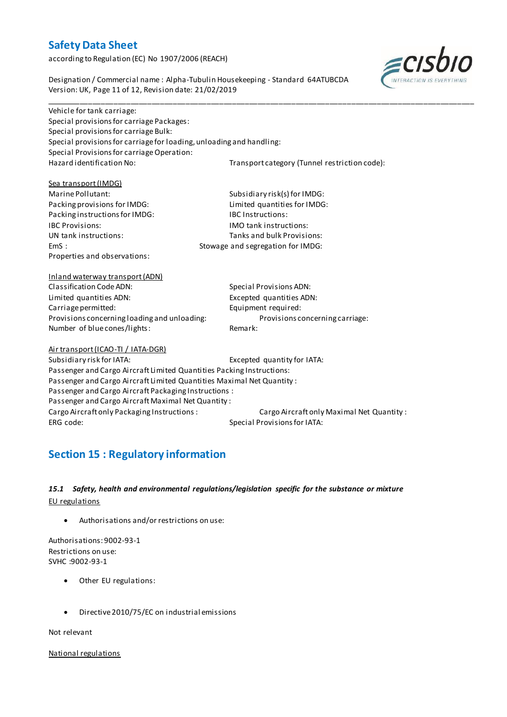according to Regulation (EC) No 1907/2006 (REACH)

≡CISL

Designation / Commercial name : Alpha-Tubulin Housekeeping - Standard 64ATUBCDA Version: UK, Page 11 of 12, Revision date: 21/02/2019

\_\_\_\_\_\_\_\_\_\_\_\_\_\_\_\_\_\_\_\_\_\_\_\_\_\_\_\_\_\_\_\_\_\_\_\_\_\_\_\_\_\_\_\_\_\_\_\_\_\_\_\_\_\_\_\_\_\_\_\_\_\_\_\_\_\_\_\_\_\_\_\_\_\_\_\_\_\_\_\_\_\_\_\_\_\_\_\_\_\_\_\_\_\_\_\_\_\_\_\_\_ Vehicle for tank carriage: Special provisions for carriage Packages: Special provisions for carriage Bulk: Special provisions for carriage for loading, unloading and handling: Special Provisions for carriage Operation:<br>Hazard identification No: Transport category (Tunnel restriction code):

Sea transport (IMDG) Packing provisions for IMDG: Packing instructions for IMDG: IBC Instructions: IBC Provisions: IMO tank instructions: Properties and observations:

Marine Pollutant:<br>
Packing provisions for IMDG:<br>
Limited quantities for IMDG: UN tank instructions: Tanks and bulk Provisions: EmS : Stowage and segregation for IMDG:

Inland waterway transport (ADN) Classification Code ADN: Special Provisions ADN: Limited quantities ADN: Excepted quantities ADN: Carriage permitted: Equipment required: Provisions concerning loading and unloading: Provisions concerning carriage: Number of blue cones/lights: Remark:

Air transport (ICAO-TI / IATA-DGR)

Subsidiary risk for IATA: Excepted quantity for IATA: Passenger and Cargo Aircraft Limited Quantities Packing Instructions: Passenger and Cargo Aircraft Limited Quantities Maximal Net Quantity : Passenger and Cargo Aircraft Packaging Instructions : Passenger and Cargo Aircraft Maximal Net Quantity : Cargo Aircraft only Packaging Instructions : Cargo Aircraft only Maximal Net Quantity : ERG code: Special Provisions for IATA:

# **Section 15 : Regulatory information**

### *15.1 Safety, health and environmental regulations/legislation specific for the substance or mixture* EU regulations

Authorisations and/or restrictions on use:

Authorisations: 9002-93-1 Restrictions on use: SVHC :9002-93-1

- Other EU regulations:
- Directive 2010/75/EC on industrial emissions

Not relevant

National regulations